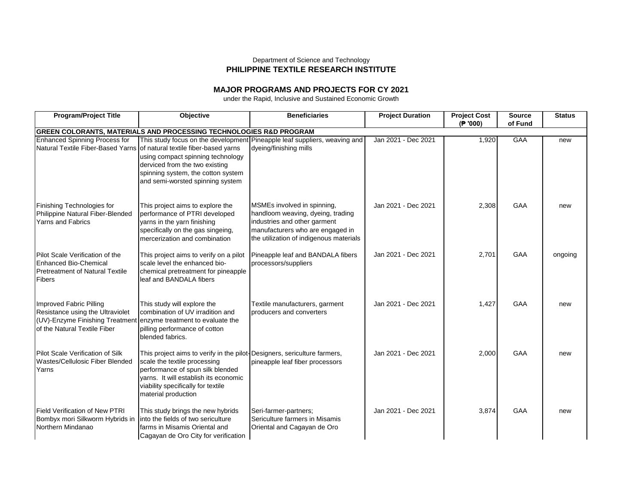## Department of Science and Technology **PHILIPPINE TEXTILE RESEARCH INSTITUTE**

## **MAJOR PROGRAMS AND PROJECTS FOR CY 2021**

under the Rapid, Inclusive and Sustained Economic Growth

| <b>Program/Project Title</b>                                                                                                                                    | <b>Objective</b>                                                                                                                                                                                                                                   | <b>Beneficiaries</b>                                                                                                                                                            | <b>Project Duration</b> | <b>Project Cost</b><br>(P '000) | <b>Source</b><br>of Fund | <b>Status</b> |  |  |
|-----------------------------------------------------------------------------------------------------------------------------------------------------------------|----------------------------------------------------------------------------------------------------------------------------------------------------------------------------------------------------------------------------------------------------|---------------------------------------------------------------------------------------------------------------------------------------------------------------------------------|-------------------------|---------------------------------|--------------------------|---------------|--|--|
|                                                                                                                                                                 | <b>GREEN COLORANTS, MATERIALS AND PROCESSING TECHNOLOGIES R&amp;D PROGRAM</b>                                                                                                                                                                      |                                                                                                                                                                                 |                         |                                 |                          |               |  |  |
| <b>Enhanced Spinning Process for</b>                                                                                                                            | Natural Textile Fiber-Based Yarns of natural textile fiber-based yarns<br>using compact spinning technology<br>derviced from the two existing<br>spinning system, the cotton system<br>and semi-worsted spinning system                            | This study focus on the development Pineapple leaf suppliers, weaving and<br>dyeing/finishing mills                                                                             | Jan 2021 - Dec 2021     | 1,920                           | GAA                      | new           |  |  |
| Finishing Technologies for<br>Philippine Natural Fiber-Blended<br><b>Yarns and Fabrics</b>                                                                      | This project aims to explore the<br>performance of PTRI developed<br>yarns in the yarn finishing<br>specifically on the gas singeing,<br>mercerization and combination                                                                             | MSMEs involved in spinning,<br>handloom weaving, dyeing, trading<br>industries and other garment<br>manufacturers who are engaged in<br>the utilization of indigenous materials | Jan 2021 - Dec 2021     | 2,308                           | GAA                      | new           |  |  |
| Pilot Scale Verification of the<br><b>Enhanced Bio-Chemical</b><br><b>Pretreatment of Natural Textile</b><br>Fibers                                             | This project aims to verify on a pilot<br>scale level the enhanced bio-<br>chemical pretreatment for pineapple<br>leaf and BANDALA fibers                                                                                                          | Pineapple leaf and BANDALA fibers<br>processors/suppliers                                                                                                                       | Jan 2021 - Dec 2021     | 2,701                           | <b>GAA</b>               | ongoing       |  |  |
| Improved Fabric Pilling<br>Resistance using the Ultraviolet<br>(UV)-Enzyme Finishing Treatment enzyme treatment to evaluate the<br>of the Natural Textile Fiber | This study will explore the<br>combination of UV irradition and<br>pilling performance of cotton<br>blended fabrics.                                                                                                                               | Textile manufacturers, garment<br>producers and converters                                                                                                                      | Jan 2021 - Dec 2021     | 1,427                           | <b>GAA</b>               | new           |  |  |
| Pilot Scale Verification of Silk<br>Wastes/Cellulosic Fiber Blended<br>Yarns                                                                                    | This project aims to verify in the pilot-Designers, sericulture farmers,<br>scale the textile processing<br>performance of spun silk blended<br>varns. It will establish its economic<br>viability specifically for textile<br>material production | pineapple leaf fiber processors                                                                                                                                                 | Jan 2021 - Dec 2021     | 2,000                           | <b>GAA</b>               | new           |  |  |
| <b>Field Verification of New PTRI</b><br>Bombyx mori Silkworm Hybrids in<br>Northern Mindanao                                                                   | This study brings the new hybrids<br>into the fields of two sericulture<br>farms in Misamis Oriental and<br>Cagayan de Oro City for verification                                                                                                   | Seri-farmer-partners;<br>Sericulture farmers in Misamis<br>Oriental and Cagayan de Oro                                                                                          | Jan 2021 - Dec 2021     | 3,874                           | GAA                      | new           |  |  |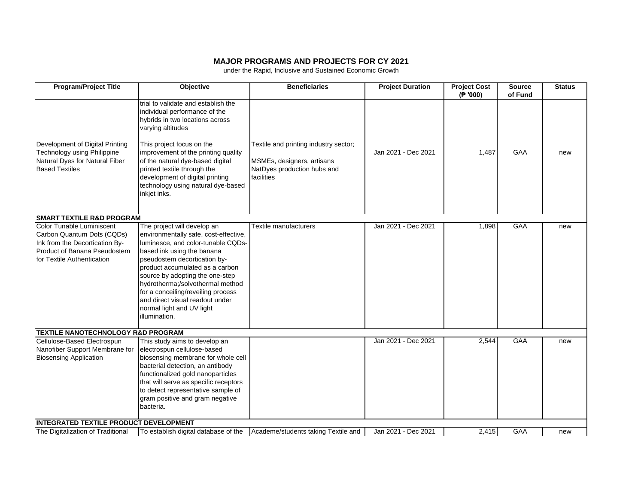## **MAJOR PROGRAMS AND PROJECTS FOR CY 2021**

under the Rapid, Inclusive and Sustained Economic Growth

| <b>Program/Project Title</b>                                                                                                                            | Objective                                                                                                                                                                                                                                                                                                                                                                                                 | <b>Beneficiaries</b>                                                                                             | <b>Project Duration</b> | <b>Project Cost</b><br>(P '000) | Source<br>of Fund | <b>Status</b> |
|---------------------------------------------------------------------------------------------------------------------------------------------------------|-----------------------------------------------------------------------------------------------------------------------------------------------------------------------------------------------------------------------------------------------------------------------------------------------------------------------------------------------------------------------------------------------------------|------------------------------------------------------------------------------------------------------------------|-------------------------|---------------------------------|-------------------|---------------|
| Development of Digital Printing<br>Technology using Philippine<br>Natural Dyes for Natural Fiber<br><b>Based Textiles</b>                               | trial to validate and establish the<br>individual performance of the<br>hybrids in two locations across<br>varying altitudes<br>This project focus on the<br>improvement of the printing quality<br>of the natural dye-based digital<br>printed textile through the<br>development of digital printing<br>technology using natural dye-based<br>inkjet inks.                                              | Textile and printing industry sector;<br>MSMEs, designers, artisans<br>NatDyes production hubs and<br>facilities | Jan 2021 - Dec 2021     | 1,487                           | GAA               | new           |
| <b>SMART TEXTILE R&amp;D PROGRAM</b>                                                                                                                    |                                                                                                                                                                                                                                                                                                                                                                                                           |                                                                                                                  |                         |                                 |                   |               |
| Color Tunable Luminiscent<br>Carbon Quantum Dots (CQDs)<br>Ink from the Decortication By-<br>Product of Banana Pseudostem<br>for Textile Authentication | The project will develop an<br>environmentally safe, cost-effective,<br>luminesce, and color-tunable CQDs-<br>based ink using the banana<br>pseudostem decortication by-<br>product accumulated as a carbon<br>source by adopting the one-step<br>hydrotherma;/solvothermal method<br>for a conceiling/reveiling process<br>and direct visual readout under<br>normal light and UV light<br>illumination. | Textile manufacturers                                                                                            | Jan 2021 - Dec 2021     | 1,898                           | GAA               | new           |
| <b>TEXTILE NANOTECHNOLOGY R&amp;D PROGRAM</b>                                                                                                           |                                                                                                                                                                                                                                                                                                                                                                                                           |                                                                                                                  |                         |                                 |                   |               |
| Cellulose-Based Electrospun<br>Nanofiber Support Membrane for<br><b>Biosensing Application</b>                                                          | This study aims to develop an<br>electrospun cellulose-based<br>biosensing membrane for whole cell<br>bacterial detection, an antibody<br>functionalized gold nanoparticles<br>that will serve as specific receptors<br>to detect representative sample of<br>gram positive and gram negative<br>bacteria.                                                                                                |                                                                                                                  | Jan 2021 - Dec 2021     | 2,544                           | GAA               | new           |
| <b>INTEGRATED TEXTILE PRODUCT DEVELOPMENT</b>                                                                                                           |                                                                                                                                                                                                                                                                                                                                                                                                           |                                                                                                                  |                         |                                 |                   |               |
| The Digitalization of Traditional                                                                                                                       | To establish digital database of the                                                                                                                                                                                                                                                                                                                                                                      | Academe/students taking Textile and                                                                              | Jan 2021 - Dec 2021     | 2,415                           | GAA               | new           |